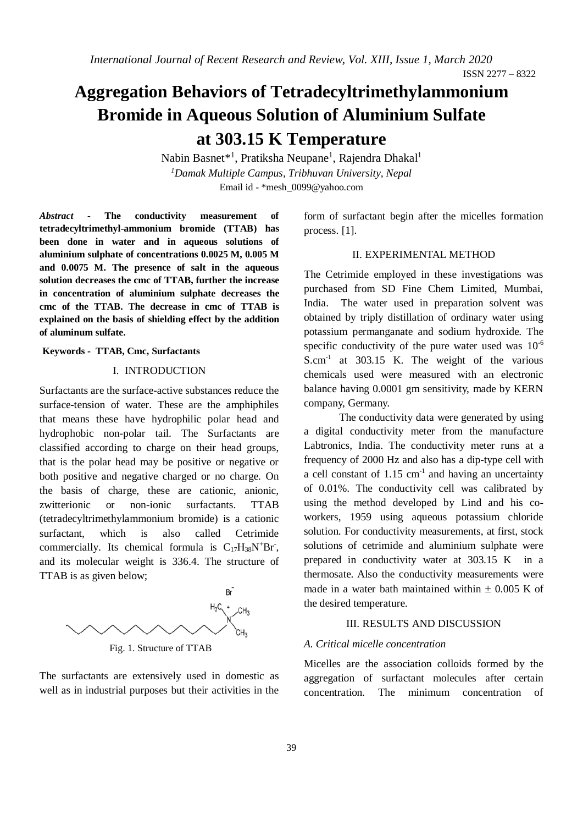# **Aggregation Behaviors of Tetradecyltrimethylammonium Bromide in Aqueous Solution of Aluminium Sulfate at 303.15 K Temperature**

Nabin Basnet\*<sup>1</sup>, Pratiksha Neupane<sup>1</sup>, Rajendra Dhakal<sup>1</sup> *<sup>1</sup>Damak Multiple Campus, Tribhuvan University, Nepal* Email id - \*mesh\_0099@yahoo.com

*Abstract -* **The conductivity measurement of tetradecyltrimethyl-ammonium bromide (TTAB) has been done in water and in aqueous solutions of aluminium sulphate of concentrations 0.0025 M, 0.005 M and 0.0075 M. The presence of salt in the aqueous solution decreases the cmc of TTAB, further the increase in concentration of aluminium sulphate decreases the cmc of the TTAB. The decrease in cmc of TTAB is explained on the basis of shielding effect by the addition of aluminum sulfate.**

## **Keywords - TTAB, Cmc, Surfactants**

# I. INTRODUCTION

Surfactants are the surface-active substances reduce the surface-tension of water. These are the amphiphiles that means these have hydrophilic polar head and hydrophobic non-polar tail. The Surfactants are classified according to charge on their head groups, that is the polar head may be positive or negative or both positive and negative charged or no charge. On the basis of charge, these are cationic, anionic, zwitterionic or non-ionic surfactants. TTAB (tetradecyltrimethylammonium bromide) is a cationic surfactant, which is also called Cetrimide commercially. Its chemical formula is  $C_{17}H_{38}N^{+}Br$ , and its molecular weight is 336.4. The structure of TTAB is as given below;



Fig. 1. Structure of TTAB

The surfactants are extensively used in domestic as well as in industrial purposes but their activities in the form of surfactant begin after the micelles formation process. [1].

## II. EXPERIMENTAL METHOD

The Cetrimide employed in these investigations was purchased from SD Fine Chem Limited, Mumbai, India. The water used in preparation solvent was obtained by triply distillation of ordinary water using potassium permanganate and sodium hydroxide. The specific conductivity of the pure water used was  $10^{-6}$ S.cm-1 at 303.15 K. The weight of the various chemicals used were measured with an electronic balance having 0.0001 gm sensitivity, made by KERN company, Germany.

The conductivity data were generated by using a digital conductivity meter from the manufacture Labtronics, India. The conductivity meter runs at a frequency of 2000 Hz and also has a dip-type cell with a cell constant of  $1.15 \text{ cm}^{-1}$  and having an uncertainty of 0.01%. The conductivity cell was calibrated by using the method developed by Lind and his coworkers, 1959 using aqueous potassium chloride solution. For conductivity measurements, at first, stock solutions of cetrimide and aluminium sulphate were prepared in conductivity water at 303.15 K in a thermosate. Also the conductivity measurements were made in a water bath maintained within  $\pm$  0.005 K of the desired temperature.

#### III. RESULTS AND DISCUSSION

#### *A. Critical micelle concentration*

Micelles are the association colloids formed by the aggregation of surfactant molecules after certain concentration. The minimum concentration of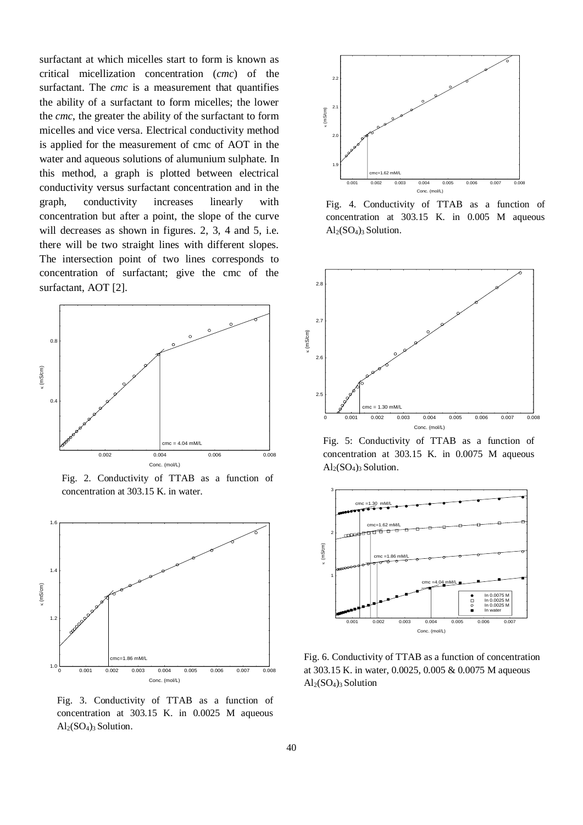surfactant at which micelles start to form is known as critical micellization concentration (*cmc*) of the surfactant. The *cmc* is a measurement that quantifies the ability of a surfactant to form micelles; the lower the *cmc*, the greater the ability of the surfactant to form micelles and vice versa. Electrical conductivity method is applied for the measurement of cmc of AOT in the water and aqueous solutions of alumunium sulphate. In this method, a graph is plotted between electrical conductivity versus surfactant concentration and in the graph, conductivity increases linearly with concentration but after a point, the slope of the curve will decreases as shown in figures. 2, 3, 4 and 5, i.e. there will be two straight lines with different slopes. The intersection point of two lines corresponds to concentration of surfactant; give the cmc of the surfactant, AOT [2].



Fig. 2. Conductivity of TTAB as a function of concentration at 303.15 K. in water.



Fig. 3. Conductivity of TTAB as a function of concentration at 303.15 K. in 0.0025 M aqueous  $Al<sub>2</sub>(SO<sub>4</sub>)<sub>3</sub>$  Solution.



Fig. 4. Conductivity of TTAB as a function of concentration at 303.15 K. in 0.005 M aqueous  $Al<sub>2</sub>(SO<sub>4</sub>)<sub>3</sub>$  Solution.



Fig. 5: Conductivity of TTAB as a function of concentration at 303.15 K. in 0.0075 M aqueous  $Al<sub>2</sub>(SO<sub>4</sub>)<sub>3</sub>$  Solution.



Fig. 6. Conductivity of TTAB as a function of concentration at 303.15 K. in water, 0.0025, 0.005 & 0.0075 M aqueous  $\mathrm{Al}_2(SO_4)_3$  Solution